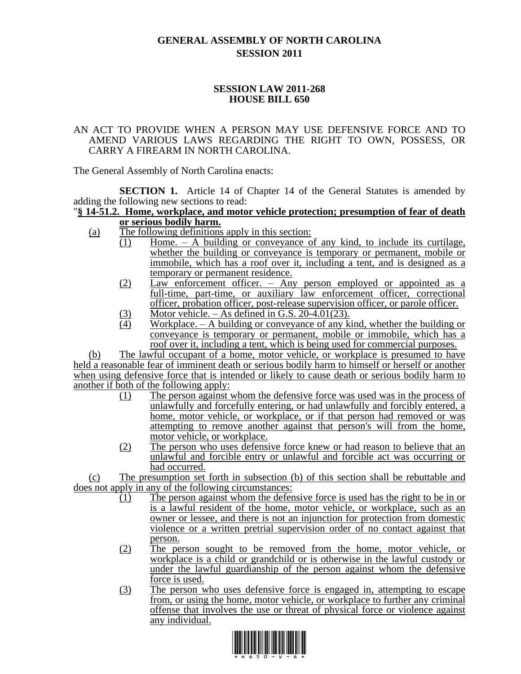# **GENERAL ASSEMBLY OF NORTH CAROLINA SESSION 2011**

# **SESSION LAW 2011-268 HOUSE BILL 650**

### AN ACT TO PROVIDE WHEN A PERSON MAY USE DEFENSIVE FORCE AND TO AMEND VARIOUS LAWS REGARDING THE RIGHT TO OWN, POSSESS, OR CARRY A FIREARM IN NORTH CAROLINA.

The General Assembly of North Carolina enacts:

**SECTION 1.** Article 14 of Chapter 14 of the General Statutes is amended by adding the following new sections to read:

# "**§ 14-51.2. Home, workplace, and motor vehicle protection; presumption of fear of death or serious bodily harm.**

- (a) The following definitions apply in this section:
	- $\overline{(1)}$  Home. A building or conveyance of any kind, to include its curtilage, whether the building or conveyance is temporary or permanent, mobile or immobile, which has a roof over it, including a tent, and is designed as a temporary or permanent residence.
		- (2) Law enforcement officer. Any person employed or appointed as a full-time, part-time, or auxiliary law enforcement officer, correctional officer, probation officer, post-release supervision officer, or parole officer.
		- (3) Motor vehicle. As defined in G.S. 20-4.01(23).
	- (4) Workplace. A building or conveyance of any kind, whether the building or conveyance is temporary or permanent, mobile or immobile, which has a roof over it, including a tent, which is being used for commercial purposes.

(b) The lawful occupant of a home, motor vehicle, or workplace is presumed to have held a reasonable fear of imminent death or serious bodily harm to himself or herself or another when using defensive force that is intended or likely to cause death or serious bodily harm to another if both of the following apply:

- (1) The person against whom the defensive force was used was in the process of unlawfully and forcefully entering, or had unlawfully and forcibly entered, a home, motor vehicle, or workplace, or if that person had removed or was attempting to remove another against that person's will from the home, motor vehicle, or workplace.
- (2) The person who uses defensive force knew or had reason to believe that an unlawful and forcible entry or unlawful and forcible act was occurring or had occurred.

(c) The presumption set forth in subsection (b) of this section shall be rebuttable and does not apply in any of the following circumstances:

- $(1)$  The person against whom the defensive force is used has the right to be in or is a lawful resident of the home, motor vehicle, or workplace, such as an owner or lessee, and there is not an injunction for protection from domestic violence or a written pretrial supervision order of no contact against that person.
- (2) The person sought to be removed from the home, motor vehicle, or workplace is a child or grandchild or is otherwise in the lawful custody or under the lawful guardianship of the person against whom the defensive force is used.
- (3) The person who uses defensive force is engaged in, attempting to escape from, or using the home, motor vehicle, or workplace to further any criminal offense that involves the use or threat of physical force or violence against any individual.

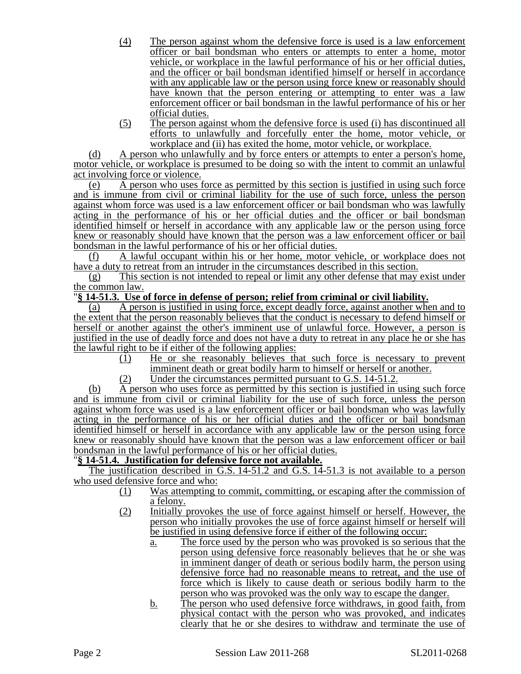- (4) The person against whom the defensive force is used is a law enforcement officer or bail bondsman who enters or attempts to enter a home, motor vehicle, or workplace in the lawful performance of his or her official duties, and the officer or bail bondsman identified himself or herself in accordance with any applicable law or the person using force knew or reasonably should have known that the person entering or attempting to enter was a law enforcement officer or bail bondsman in the lawful performance of his or her official duties.
- (5) The person against whom the defensive force is used (i) has discontinued all efforts to unlawfully and forcefully enter the home, motor vehicle, or workplace and (ii) has exited the home, motor vehicle, or workplace.

(d) A person who unlawfully and by force enters or attempts to enter a person's home, motor vehicle, or workplace is presumed to be doing so with the intent to commit an unlawful act involving force or violence.

(e) A person who uses force as permitted by this section is justified in using such force and is immune from civil or criminal liability for the use of such force, unless the person against whom force was used is a law enforcement officer or bail bondsman who was lawfully acting in the performance of his or her official duties and the officer or bail bondsman identified himself or herself in accordance with any applicable law or the person using force knew or reasonably should have known that the person was a law enforcement officer or bail bondsman in the lawful performance of his or her official duties.

(f) A lawful occupant within his or her home, motor vehicle, or workplace does not have a duty to retreat from an intruder in the circumstances described in this section.

(g) This section is not intended to repeal or limit any other defense that may exist under the common law.

# "**§ 14-51.3. Use of force in defense of person; relief from criminal or civil liability.**

(a) A person is justified in using force, except deadly force, against another when and to the extent that the person reasonably believes that the conduct is necessary to defend himself or herself or another against the other's imminent use of unlawful force. However, a person is justified in the use of deadly force and does not have a duty to retreat in any place he or she has the lawful right to be if either of the following applies:

- (1) He or she reasonably believes that such force is necessary to prevent imminent death or great bodily harm to himself or herself or another.
- (2) Under the circumstances permitted pursuant to G.S. 14-51.2.

(b) A person who uses force as permitted by this section is justified in using such force and is immune from civil or criminal liability for the use of such force, unless the person against whom force was used is a law enforcement officer or bail bondsman who was lawfully acting in the performance of his or her official duties and the officer or bail bondsman identified himself or herself in accordance with any applicable law or the person using force knew or reasonably should have known that the person was a law enforcement officer or bail bondsman in the lawful performance of his or her official duties.

# "**§ 14-51.4. Justification for defensive force not available.**

The justification described in G.S. 14-51.2 and G.S. 14-51.3 is not available to a person who used defensive force and who:

- (1) Was attempting to commit, committing, or escaping after the commission of a felony.
- (2) Initially provokes the use of force against himself or herself. However, the person who initially provokes the use of force against himself or herself will be justified in using defensive force if either of the following occur:
	- a. The force used by the person who was provoked is so serious that the person using defensive force reasonably believes that he or she was in imminent danger of death or serious bodily harm, the person using defensive force had no reasonable means to retreat, and the use of force which is likely to cause death or serious bodily harm to the person who was provoked was the only way to escape the danger.
	- b. The person who used defensive force withdraws, in good faith, from physical contact with the person who was provoked, and indicates clearly that he or she desires to withdraw and terminate the use of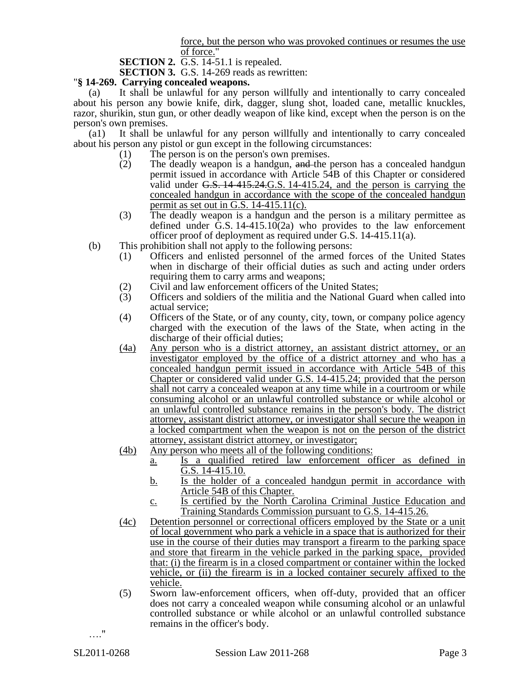force, but the person who was provoked continues or resumes the use of force."

# **SECTION 2.** G.S. 14-51.1 is repealed.

**SECTION 3.** G.S. 14-269 reads as rewritten:

#### "**§ 14-269. Carrying concealed weapons.**

(a) It shall be unlawful for any person willfully and intentionally to carry concealed about his person any bowie knife, dirk, dagger, slung shot, loaded cane, metallic knuckles, razor, shurikin, stun gun, or other deadly weapon of like kind, except when the person is on the person's own premises.

(a1) It shall be unlawful for any person willfully and intentionally to carry concealed about his person any pistol or gun except in the following circumstances:

- (1) The person is on the person's own premises.
- (2) The deadly weapon is a handgun, and the person has a concealed handgun permit issued in accordance with Article 54B of this Chapter or considered valid under G.S. 14-415.24.G.S. 14-415.24, and the person is carrying the concealed handgun in accordance with the scope of the concealed handgun permit as set out in G.S. 14-415.11(c).
- (3) The deadly weapon is a handgun and the person is a military permittee as defined under G.S. 14-415.10(2a) who provides to the law enforcement officer proof of deployment as required under G.S. 14-415.11(a).
- (b) This prohibition shall not apply to the following persons:
	- (1) Officers and enlisted personnel of the armed forces of the United States when in discharge of their official duties as such and acting under orders requiring them to carry arms and weapons;
	- (2) Civil and law enforcement officers of the United States;
	- (3) Officers and soldiers of the militia and the National Guard when called into actual service;
	- (4) Officers of the State, or of any county, city, town, or company police agency charged with the execution of the laws of the State, when acting in the discharge of their official duties;
	- (4a) Any person who is a district attorney, an assistant district attorney, or an investigator employed by the office of a district attorney and who has a concealed handgun permit issued in accordance with Article 54B of this Chapter or considered valid under G.S. 14-415.24; provided that the person shall not carry a concealed weapon at any time while in a courtroom or while consuming alcohol or an unlawful controlled substance or while alcohol or an unlawful controlled substance remains in the person's body. The district attorney, assistant district attorney, or investigator shall secure the weapon in a locked compartment when the weapon is not on the person of the district attorney, assistant district attorney, or investigator;
	- (4b) Any person who meets all of the following conditions:
		- a. Is a qualified retired law enforcement officer as defined in G.S. 14-415.10.
		- b. Is the holder of a concealed handgun permit in accordance with Article 54B of this Chapter.
		- c. Is certified by the North Carolina Criminal Justice Education and Training Standards Commission pursuant to G.S. 14-415.26.
	- (4c) Detention personnel or correctional officers employed by the State or a unit of local government who park a vehicle in a space that is authorized for their use in the course of their duties may transport a firearm to the parking space and store that firearm in the vehicle parked in the parking space, provided that: (i) the firearm is in a closed compartment or container within the locked vehicle, or (ii) the firearm is in a locked container securely affixed to the vehicle.
	- (5) Sworn law-enforcement officers, when off-duty, provided that an officer does not carry a concealed weapon while consuming alcohol or an unlawful controlled substance or while alcohol or an unlawful controlled substance remains in the officer's body.

…."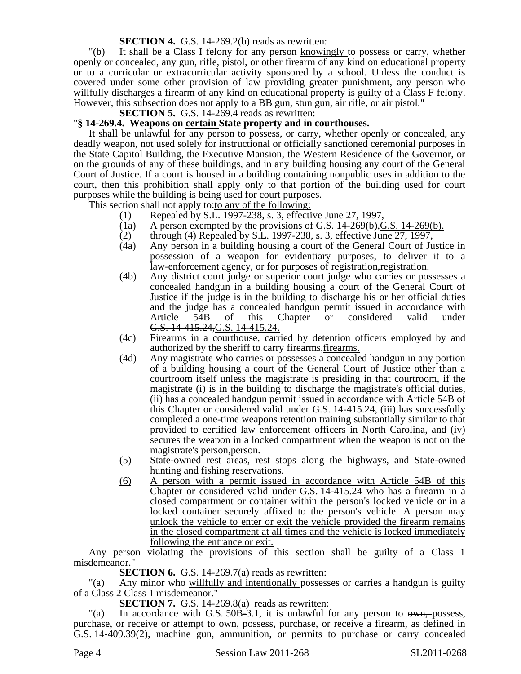# **SECTION 4.** G.S. 14-269.2(b) reads as rewritten:

"(b) It shall be a Class I felony for any person knowingly to possess or carry, whether openly or concealed, any gun, rifle, pistol, or other firearm of any kind on educational property or to a curricular or extracurricular activity sponsored by a school. Unless the conduct is covered under some other provision of law providing greater punishment, any person who willfully discharges a firearm of any kind on educational property is guilty of a Class F felony. However, this subsection does not apply to a BB gun, stun gun, air rifle, or air pistol."

**SECTION 5.** G.S. 14-269.4 reads as rewritten:

# "**§ 14-269.4. Weapons on certain State property and in courthouses.**

It shall be unlawful for any person to possess, or carry, whether openly or concealed, any deadly weapon, not used solely for instructional or officially sanctioned ceremonial purposes in the State Capitol Building, the Executive Mansion, the Western Residence of the Governor, or on the grounds of any of these buildings, and in any building housing any court of the General Court of Justice. If a court is housed in a building containing nonpublic uses in addition to the court, then this prohibition shall apply only to that portion of the building used for court purposes while the building is being used for court purposes.

This section shall not apply to: to any of the following:

- (1) Repealed by S.L. 1997-238, s. 3, effective June 27, 1997,
- (1a) A person exempted by the provisions of  $\overline{G.S. 14-269(b), G.S. 14-269(b)}$ .
- (2) through (4) Repealed by S.L. 1997-238, s. 3, effective June 27, 1997,
- (4a) Any person in a building housing a court of the General Court of Justice in possession of a weapon for evidentiary purposes, to deliver it to a law-enforcement agency, or for purposes of registration, registration.
- (4b) Any district court judge or superior court judge who carries or possesses a concealed handgun in a building housing a court of the General Court of Justice if the judge is in the building to discharge his or her official duties and the judge has a concealed handgun permit issued in accordance with Article 54B of this Chapter or considered valid under G.S. 14-415.24,G.S. 14-415.24.
- (4c) Firearms in a courthouse, carried by detention officers employed by and authorized by the sheriff to carry firearms, firearms.
- (4d) Any magistrate who carries or possesses a concealed handgun in any portion of a building housing a court of the General Court of Justice other than a courtroom itself unless the magistrate is presiding in that courtroom, if the magistrate (i) is in the building to discharge the magistrate's official duties, (ii) has a concealed handgun permit issued in accordance with Article 54B of this Chapter or considered valid under G.S. 14-415.24, (iii) has successfully completed a one-time weapons retention training substantially similar to that provided to certified law enforcement officers in North Carolina, and (iv) secures the weapon in a locked compartment when the weapon is not on the magistrate's person, person.
- (5) State-owned rest areas, rest stops along the highways, and State-owned hunting and fishing reservations.
- (6) A person with a permit issued in accordance with Article 54B of this Chapter or considered valid under G.S. 14-415.24 who has a firearm in a closed compartment or container within the person's locked vehicle or in a locked container securely affixed to the person's vehicle. A person may unlock the vehicle to enter or exit the vehicle provided the firearm remains in the closed compartment at all times and the vehicle is locked immediately following the entrance or exit.

Any person violating the provisions of this section shall be guilty of a Class 1 misdemeanor."

**SECTION 6.** G.S. 14-269.7(a) reads as rewritten:

"(a) Any minor who willfully and intentionally possesses or carries a handgun is guilty of a Class 2 Class 1 misdemeanor."

**SECTION 7.** G.S. 14-269.8(a) reads as rewritten:

"(a) In accordance with G.S. 50B-3.1, it is unlawful for any person to  $\theta$ wn, possess, purchase, or receive or attempt to  $\theta$ , possess, purchase, or receive a firearm, as defined in G.S. 14-409.39(2), machine gun, ammunition, or permits to purchase or carry concealed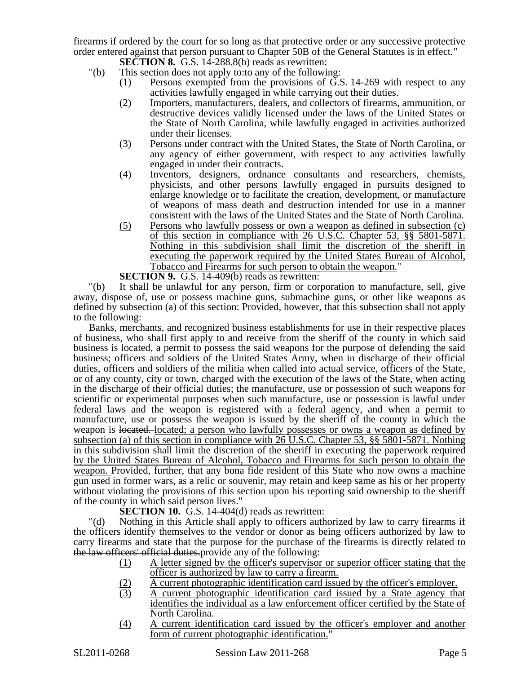firearms if ordered by the court for so long as that protective order or any successive protective order entered against that person pursuant to Chapter 50B of the General Statutes is in effect." **SECTION 8.** G.S. 14-288.8(b) reads as rewritten:

- $"$ (b) This section does not apply to: to any of the following:
	- (1) Persons exempted from the provisions of G.S. 14-269 with respect to any activities lawfully engaged in while carrying out their duties.
	- (2) Importers, manufacturers, dealers, and collectors of firearms, ammunition, or destructive devices validly licensed under the laws of the United States or the State of North Carolina, while lawfully engaged in activities authorized under their licenses.
	- (3) Persons under contract with the United States, the State of North Carolina, or any agency of either government, with respect to any activities lawfully engaged in under their contracts.
	- (4) Inventors, designers, ordnance consultants and researchers, chemists, physicists, and other persons lawfully engaged in pursuits designed to enlarge knowledge or to facilitate the creation, development, or manufacture of weapons of mass death and destruction intended for use in a manner consistent with the laws of the United States and the State of North Carolina.
	- (5) Persons who lawfully possess or own a weapon as defined in subsection (c) of this section in compliance with 26 U.S.C. Chapter 53, §§ 5801-5871. Nothing in this subdivision shall limit the discretion of the sheriff in executing the paperwork required by the United States Bureau of Alcohol, Tobacco and Firearms for such person to obtain the weapon."

**SECTION 9.** G.S. 14-409(b) reads as rewritten:

"(b) It shall be unlawful for any person, firm or corporation to manufacture, sell, give away, dispose of, use or possess machine guns, submachine guns, or other like weapons as defined by subsection (a) of this section: Provided, however, that this subsection shall not apply to the following:

Banks, merchants, and recognized business establishments for use in their respective places of business, who shall first apply to and receive from the sheriff of the county in which said business is located, a permit to possess the said weapons for the purpose of defending the said business; officers and soldiers of the United States Army, when in discharge of their official duties, officers and soldiers of the militia when called into actual service, officers of the State, or of any county, city or town, charged with the execution of the laws of the State, when acting in the discharge of their official duties; the manufacture, use or possession of such weapons for scientific or experimental purposes when such manufacture, use or possession is lawful under federal laws and the weapon is registered with a federal agency, and when a permit to manufacture, use or possess the weapon is issued by the sheriff of the county in which the weapon is located. located; a person who lawfully possesses or owns a weapon as defined by subsection (a) of this section in compliance with 26 U.S.C. Chapter 53, §§ 5801-5871. Nothing in this subdivision shall limit the discretion of the sheriff in executing the paperwork required by the United States Bureau of Alcohol, Tobacco and Firearms for such person to obtain the weapon. Provided, further, that any bona fide resident of this State who now owns a machine gun used in former wars, as a relic or souvenir, may retain and keep same as his or her property without violating the provisions of this section upon his reporting said ownership to the sheriff of the county in which said person lives."

# **SECTION 10.** G.S. 14-404(d) reads as rewritten:

"(d) Nothing in this Article shall apply to officers authorized by law to carry firearms if the officers identify themselves to the vendor or donor as being officers authorized by law to carry firearms and state that the purpose for the purchase of the firearms is directly related to the law officers' official duties.provide any of the following:

- (1) A letter signed by the officer's supervisor or superior officer stating that the officer is authorized by law to carry a firearm.
- $\frac{12}{2}$  A current photographic identification card issued by the officer's employer.<br>
A current photographic identification card issued by a State agency the
- A current photographic identification card issued by a State agency that identifies the individual as a law enforcement officer certified by the State of North Carolina.
- (4) A current identification card issued by the officer's employer and another form of current photographic identification."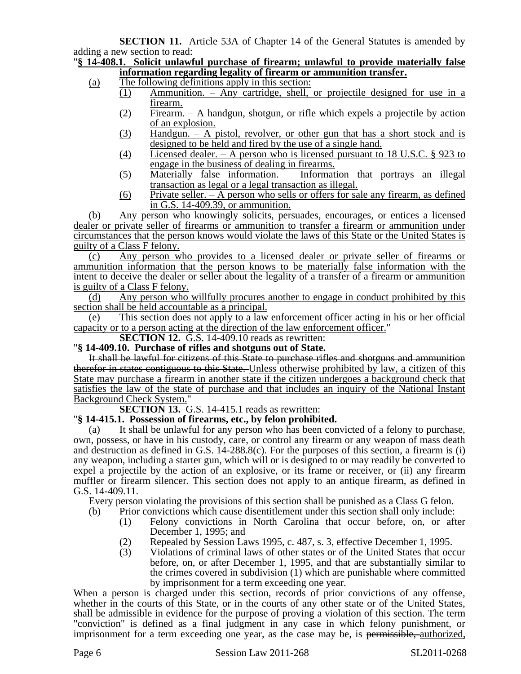**SECTION 11.** Article 53A of Chapter 14 of the General Statutes is amended by adding a new section to read:

#### "**§ 14-408.1. Solicit unlawful purchase of firearm; unlawful to provide materially false information regarding legality of firearm or ammunition transfer.**

(a) The following definitions apply in this section:

- (1) Ammunition. Any cartridge, shell, or projectile designed for use in a firearm.
	- (2) Firearm. A handgun, shotgun, or rifle which expels a projectile by action of an explosion.
	- (3) Handgun. A pistol, revolver, or other gun that has a short stock and is designed to be held and fired by the use of a single hand.
	- (4) Licensed dealer. A person who is licensed pursuant to 18 U.S.C. § 923 to engage in the business of dealing in firearms.
	- (5) Materially false information. Information that portrays an illegal transaction as legal or a legal transaction as illegal.
	- (6) Private seller. A person who sells or offers for sale any firearm, as defined in G.S. 14-409.39, or ammunition.

(b) Any person who knowingly solicits, persuades, encourages, or entices a licensed dealer or private seller of firearms or ammunition to transfer a firearm or ammunition under circumstances that the person knows would violate the laws of this State or the United States is guilty of a Class F felony.

(c) Any person who provides to a licensed dealer or private seller of firearms or ammunition information that the person knows to be materially false information with the intent to deceive the dealer or seller about the legality of a transfer of a firearm or ammunition is guilty of a Class F felony.

(d) Any person who willfully procures another to engage in conduct prohibited by this section shall be held accountable as a principal.

(e) This section does not apply to a law enforcement officer acting in his or her official capacity or to a person acting at the direction of the law enforcement officer."

# **SECTION 12.** G.S. 14-409.10 reads as rewritten:

"**§ 14-409.10. Purchase of rifles and shotguns out of State.** It shall be lawful for citizens of this State to purchase rifles and shotguns and ammunition therefor in states contiguous to this State. Unless otherwise prohibited by law, a citizen of this

State may purchase a firearm in another state if the citizen undergoes a background check that satisfies the law of the state of purchase and that includes an inquiry of the National Instant Background Check System."

**SECTION 13.** G.S. 14-415.1 reads as rewritten:

# "**§ 14-415.1. Possession of firearms, etc., by felon prohibited.**

(a) It shall be unlawful for any person who has been convicted of a felony to purchase, own, possess, or have in his custody, care, or control any firearm or any weapon of mass death and destruction as defined in G.S. 14-288.8(c). For the purposes of this section, a firearm is (i) any weapon, including a starter gun, which will or is designed to or may readily be converted to expel a projectile by the action of an explosive, or its frame or receiver, or (ii) any firearm muffler or firearm silencer. This section does not apply to an antique firearm, as defined in G.S. 14-409.11.

Every person violating the provisions of this section shall be punished as a Class G felon.

- (b) Prior convictions which cause disentitlement under this section shall only include:
	- (1) Felony convictions in North Carolina that occur before, on, or after December 1, 1995; and
	- (2) Repealed by Session Laws 1995, c. 487, s. 3, effective December 1, 1995.<br>
	(3) Violations of criminal laws of other states or of the United States that occ
	- (3) Violations of criminal laws of other states or of the United States that occur before, on, or after December 1, 1995, and that are substantially similar to the crimes covered in subdivision (1) which are punishable where committed by imprisonment for a term exceeding one year.

When a person is charged under this section, records of prior convictions of any offense, whether in the courts of this State, or in the courts of any other state or of the United States, shall be admissible in evidence for the purpose of proving a violation of this section. The term "conviction" is defined as a final judgment in any case in which felony punishment, or imprisonment for a term exceeding one year, as the case may be, is permissible, authorized,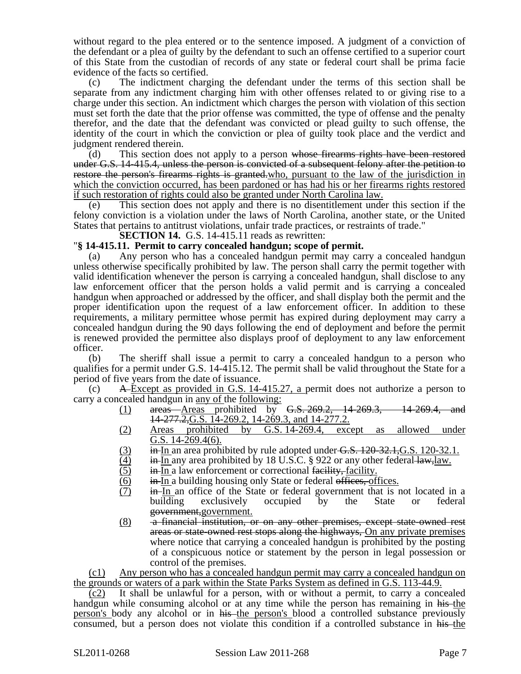without regard to the plea entered or to the sentence imposed. A judgment of a conviction of the defendant or a plea of guilty by the defendant to such an offense certified to a superior court of this State from the custodian of records of any state or federal court shall be prima facie evidence of the facts so certified.

(c) The indictment charging the defendant under the terms of this section shall be separate from any indictment charging him with other offenses related to or giving rise to a charge under this section. An indictment which charges the person with violation of this section must set forth the date that the prior offense was committed, the type of offense and the penalty therefor, and the date that the defendant was convicted or plead guilty to such offense, the identity of the court in which the conviction or plea of guilty took place and the verdict and judgment rendered therein.

(d) This section does not apply to a person whose firearms rights have been restored under G.S. 14-415.4, unless the person is convicted of a subsequent felony after the petition to restore the person's firearms rights is granted who, pursuant to the law of the jurisdiction in which the conviction occurred, has been pardoned or has had his or her firearms rights restored if such restoration of rights could also be granted under North Carolina law.

(e) This section does not apply and there is no disentitlement under this section if the felony conviction is a violation under the laws of North Carolina, another state, or the United States that pertains to antitrust violations, unfair trade practices, or restraints of trade."

**SECTION 14.** G.S. 14-415.11 reads as rewritten:

### "**§ 14-415.11. Permit to carry concealed handgun; scope of permit.**

(a) Any person who has a concealed handgun permit may carry a concealed handgun unless otherwise specifically prohibited by law. The person shall carry the permit together with valid identification whenever the person is carrying a concealed handgun, shall disclose to any law enforcement officer that the person holds a valid permit and is carrying a concealed handgun when approached or addressed by the officer, and shall display both the permit and the proper identification upon the request of a law enforcement officer. In addition to these requirements, a military permittee whose permit has expired during deployment may carry a concealed handgun during the 90 days following the end of deployment and before the permit is renewed provided the permittee also displays proof of deployment to any law enforcement officer.

(b) The sheriff shall issue a permit to carry a concealed handgun to a person who qualifies for a permit under G.S. 14-415.12. The permit shall be valid throughout the State for a period of five years from the date of issuance.

 $\overline{A}$ -Except as provided in G.S. 14-415.27, a permit does not authorize a person to carry a concealed handgun in <u>any of the following:</u>

- (1) areas Areas prohibited by G.S. 269.2, 14-269.3, 14-269.4, and 14-277.2,G.S. 14-269.2, 14-269.3, and 14-277.2.
- (2) Areas prohibited by G.S. 14-269.4, except as allowed under G.S. 14-269.4(6).
- (3) in In an area prohibited by rule adopted under G.S. 120-32.1, G.S. 120-32.1.<br>  $\frac{120}{\text{H}} \cdot \frac{1}{\text{H}} \cdot \frac{1}{\text{H}} \cdot \frac{1}{\text{H}} \cdot \frac{1}{\text{H}} \cdot \frac{1}{\text{H}} \cdot \frac{1}{\text{H}} \cdot \frac{1}{\text{H}} \cdot \frac{1}{\text{H}} \cdot \frac{1}{\text{H}} \cdot \frac{1}{\text{H}} \cdot \frac{1$
- $\frac{4}{10}$  in any area prohibited by 18 U.S.C. § 922 or any other federal  $\frac{1}{4}$ aw, law.
- in In a law enforcement or correctional facility, facility.
- $\frac{6}{17}$  in In a building housing only State or federal offices, offices.<br>(7) in In an office of the State or federal government that is r
- $\frac{1}{2}$  in In an office of the State or federal government that is not located in a building exclusively occupied by the State or federal building exclusively occupied by the State or federal government,government.
- (8) a financial institution, or on any other premises, except state-owned rest areas or state-owned rest stops along the highways, On any private premises where notice that carrying a concealed handgun is prohibited by the posting of a conspicuous notice or statement by the person in legal possession or control of the premises.

(c1) Any person who has a concealed handgun permit may carry a concealed handgun on the grounds or waters of a park within the State Parks System as defined in G.S. 113-44.9.

(c2) It shall be unlawful for a person, with or without a permit, to carry a concealed handgun while consuming alcohol or at any time while the person has remaining in his-the person's body any alcohol or in his the person's blood a controlled substance previously consumed, but a person does not violate this condition if a controlled substance in his the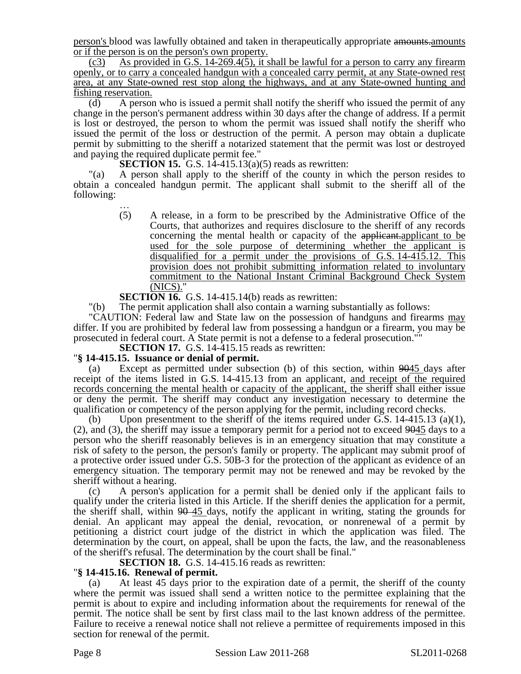person's blood was lawfully obtained and taken in therapeutically appropriate amounts. or if the person is on the person's own property.

 $(c3)$  As provided in G.S. 14-269.4(5), it shall be lawful for a person to carry any firearm openly, or to carry a concealed handgun with a concealed carry permit, at any State-owned rest area, at any State-owned rest stop along the highways, and at any State-owned hunting and fishing reservation.

(d) A person who is issued a permit shall notify the sheriff who issued the permit of any change in the person's permanent address within 30 days after the change of address. If a permit is lost or destroyed, the person to whom the permit was issued shall notify the sheriff who issued the permit of the loss or destruction of the permit. A person may obtain a duplicate permit by submitting to the sheriff a notarized statement that the permit was lost or destroyed and paying the required duplicate permit fee."

**SECTION 15.** G.S. 14-415.13(a)(5) reads as rewritten:

"(a) A person shall apply to the sheriff of the county in which the person resides to obtain a concealed handgun permit. The applicant shall submit to the sheriff all of the following:

… (5) A release, in a form to be prescribed by the Administrative Office of the Courts, that authorizes and requires disclosure to the sheriff of any records concerning the mental health or capacity of the applicant.applicant to be used for the sole purpose of determining whether the applicant is disqualified for a permit under the provisions of G.S. 14-415.12. This provision does not prohibit submitting information related to involuntary commitment to the National Instant Criminal Background Check System (NICS)."

**SECTION 16.** G.S. 14-415.14(b) reads as rewritten:

"(b) The permit application shall also contain a warning substantially as follows:

"CAUTION: Federal law and State law on the possession of handguns and firearms may differ. If you are prohibited by federal law from possessing a handgun or a firearm, you may be prosecuted in federal court. A State permit is not a defense to a federal prosecution.""

**SECTION 17.** G.S. 14-415.15 reads as rewritten:

### "**§ 14-415.15. Issuance or denial of permit.**

(a) Except as permitted under subsection (b) of this section, within 9045 days after receipt of the items listed in G.S. 14-415.13 from an applicant, and receipt of the required records concerning the mental health or capacity of the applicant, the sheriff shall either issue or deny the permit. The sheriff may conduct any investigation necessary to determine the qualification or competency of the person applying for the permit, including record checks.

(b) Upon presentment to the sheriff of the items required under G.S.  $14-415.13$  (a)(1), (2), and (3), the sheriff may issue a temporary permit for a period not to exceed 9045 days to a person who the sheriff reasonably believes is in an emergency situation that may constitute a risk of safety to the person, the person's family or property. The applicant may submit proof of a protective order issued under G.S. 50B-3 for the protection of the applicant as evidence of an emergency situation. The temporary permit may not be renewed and may be revoked by the sheriff without a hearing.

(c) A person's application for a permit shall be denied only if the applicant fails to qualify under the criteria listed in this Article. If the sheriff denies the application for a permit, the sheriff shall, within 90 45 days, notify the applicant in writing, stating the grounds for denial. An applicant may appeal the denial, revocation, or nonrenewal of a permit by petitioning a district court judge of the district in which the application was filed. The determination by the court, on appeal, shall be upon the facts, the law, and the reasonableness of the sheriff's refusal. The determination by the court shall be final."

**SECTION 18.** G.S. 14-415.16 reads as rewritten:

# "**§ 14-415.16. Renewal of permit.**

(a) At least 45 days prior to the expiration date of a permit, the sheriff of the county where the permit was issued shall send a written notice to the permittee explaining that the permit is about to expire and including information about the requirements for renewal of the permit. The notice shall be sent by first class mail to the last known address of the permittee. Failure to receive a renewal notice shall not relieve a permittee of requirements imposed in this section for renewal of the permit.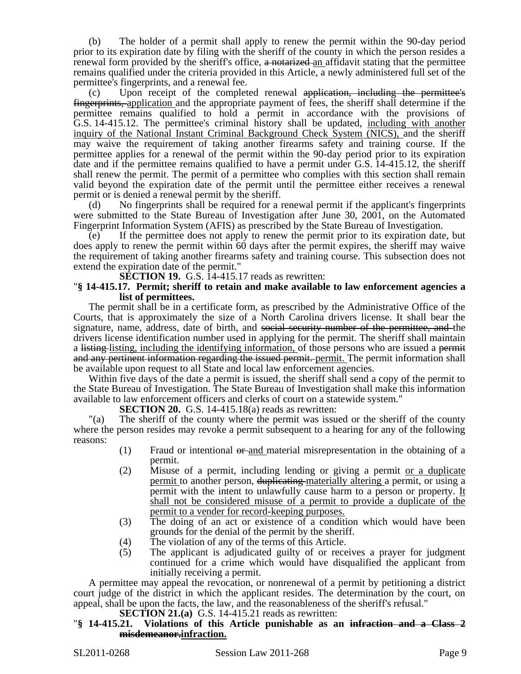(b) The holder of a permit shall apply to renew the permit within the 90-day period prior to its expiration date by filing with the sheriff of the county in which the person resides a renewal form provided by the sheriff's office, a notarized an affidavit stating that the permittee remains qualified under the criteria provided in this Article, a newly administered full set of the permittee's fingerprints, and a renewal fee.

(c) Upon receipt of the completed renewal application, including the permittee's fingerprints, application and the appropriate payment of fees, the sheriff shall determine if the permittee remains qualified to hold a permit in accordance with the provisions of G.S. 14-415.12. The permittee's criminal history shall be updated, including with another inquiry of the National Instant Criminal Background Check System (NICS), and the sheriff may waive the requirement of taking another firearms safety and training course. If the permittee applies for a renewal of the permit within the 90-day period prior to its expiration date and if the permittee remains qualified to have a permit under G.S. 14-415.12, the sheriff shall renew the permit. The permit of a permittee who complies with this section shall remain valid beyond the expiration date of the permit until the permittee either receives a renewal permit or is denied a renewal permit by the sheriff.

(d) No fingerprints shall be required for a renewal permit if the applicant's fingerprints were submitted to the State Bureau of Investigation after June 30, 2001, on the Automated Fingerprint Information System (AFIS) as prescribed by the State Bureau of Investigation.

(e) If the permittee does not apply to renew the permit prior to its expiration date, but does apply to renew the permit within 60 days after the permit expires, the sheriff may waive the requirement of taking another firearms safety and training course. This subsection does not extend the expiration date of the permit."

#### **SECTION 19.** G.S. 14-415.17 reads as rewritten:

#### "**§ 14-415.17. Permit; sheriff to retain and make available to law enforcement agencies a list of permittees.**

The permit shall be in a certificate form, as prescribed by the Administrative Office of the Courts, that is approximately the size of a North Carolina drivers license. It shall bear the signature, name, address, date of birth, and social security number of the permittee, and the drivers license identification number used in applying for the permit. The sheriff shall maintain a listing-listing, including the identifying information, of those persons who are issued a permit and any pertinent information regarding the issued permit. permit. The permit information shall be available upon request to all State and local law enforcement agencies.

Within five days of the date a permit is issued, the sheriff shall send a copy of the permit to the State Bureau of Investigation. The State Bureau of Investigation shall make this information available to law enforcement officers and clerks of court on a statewide system."

**SECTION 20.** G.S. 14-415.18(a) reads as rewritten:

"(a) The sheriff of the county where the permit was issued or the sheriff of the county where the person resides may revoke a permit subsequent to a hearing for any of the following reasons:

- (1) Fraud or intentional or and material misrepresentation in the obtaining of a permit.
- (2) Misuse of a permit, including lending or giving a permit or a duplicate permit to another person, duplicating materially altering a permit, or using a permit with the intent to unlawfully cause harm to a person or property. It shall not be considered misuse of a permit to provide a duplicate of the permit to a vender for record-keeping purposes.
- (3) The doing of an act or existence of a condition which would have been grounds for the denial of the permit by the sheriff.
- (4) The violation of any of the terms of this Article.<br>(5) The applicant is adjudicated guilty of or rece
- The applicant is adjudicated guilty of or receives a prayer for judgment continued for a crime which would have disqualified the applicant from initially receiving a permit.

A permittee may appeal the revocation, or nonrenewal of a permit by petitioning a district court judge of the district in which the applicant resides. The determination by the court, on appeal, shall be upon the facts, the law, and the reasonableness of the sheriff's refusal."

**SECTION 21.(a)** G.S. 14-415.21 reads as rewritten:

### "**§ 14-415.21. Violations of this Article punishable as an infraction and a Class 2 misdemeanor.infraction.**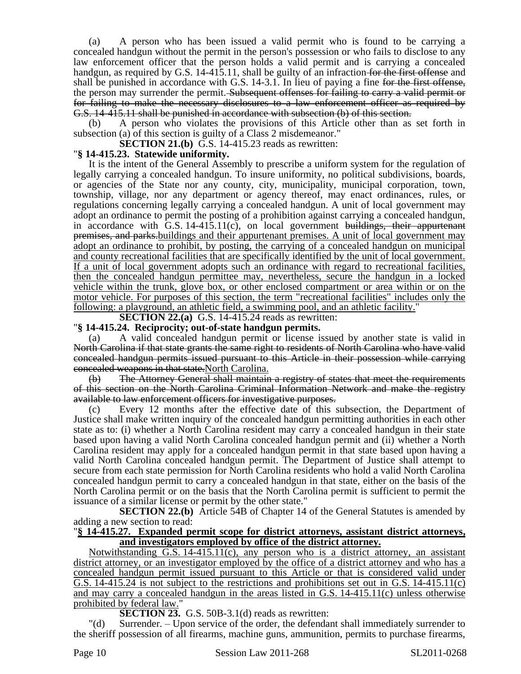(a) A person who has been issued a valid permit who is found to be carrying a concealed handgun without the permit in the person's possession or who fails to disclose to any law enforcement officer that the person holds a valid permit and is carrying a concealed handgun, as required by G.S. 14-415.11, shall be guilty of an infraction for the first offense and shall be punished in accordance with G.S.  $14-3.1$ . In lieu of paying a fine for the first offense, the person may surrender the permit. Subsequent offenses for failing to carry a valid permit or for failing to make the necessary disclosures to a law enforcement officer as required by G.S. 14-415.11 shall be punished in accordance with subsection (b) of this section.

(b) A person who violates the provisions of this Article other than as set forth in subsection (a) of this section is guilty of a Class 2 misdemeanor."

**SECTION 21.(b)** G.S. 14-415.23 reads as rewritten:

### "**§ 14-415.23. Statewide uniformity.**

It is the intent of the General Assembly to prescribe a uniform system for the regulation of legally carrying a concealed handgun. To insure uniformity, no political subdivisions, boards, or agencies of the State nor any county, city, municipality, municipal corporation, town, township, village, nor any department or agency thereof, may enact ordinances, rules, or regulations concerning legally carrying a concealed handgun. A unit of local government may adopt an ordinance to permit the posting of a prohibition against carrying a concealed handgun, in accordance with G.S.  $14-415.11(c)$ , on local government buildings, their appurtenant premises, and parks.buildings and their appurtenant premises. A unit of local government may adopt an ordinance to prohibit, by posting, the carrying of a concealed handgun on municipal and county recreational facilities that are specifically identified by the unit of local government. If a unit of local government adopts such an ordinance with regard to recreational facilities, then the concealed handgun permittee may, nevertheless, secure the handgun in a locked vehicle within the trunk, glove box, or other enclosed compartment or area within or on the motor vehicle. For purposes of this section, the term "recreational facilities" includes only the following: a playground, an athletic field, a swimming pool, and an athletic facility."

**SECTION 22.(a)** G.S. 14-415.24 reads as rewritten:

### "**§ 14-415.24. Reciprocity; out-of-state handgun permits.**

(a) A valid concealed handgun permit or license issued by another state is valid in North Carolina if that state grants the same right to residents of North Carolina who have valid concealed handgun permits issued pursuant to this Article in their possession while carrying concealed weapons in that state.North Carolina.

(b) The Attorney General shall maintain a registry of states that meet the requirements of this section on the North Carolina Criminal Information Network and make the registry available to law enforcement officers for investigative purposes.

(c) Every 12 months after the effective date of this subsection, the Department of Justice shall make written inquiry of the concealed handgun permitting authorities in each other state as to: (i) whether a North Carolina resident may carry a concealed handgun in their state based upon having a valid North Carolina concealed handgun permit and (ii) whether a North Carolina resident may apply for a concealed handgun permit in that state based upon having a valid North Carolina concealed handgun permit. The Department of Justice shall attempt to secure from each state permission for North Carolina residents who hold a valid North Carolina concealed handgun permit to carry a concealed handgun in that state, either on the basis of the North Carolina permit or on the basis that the North Carolina permit is sufficient to permit the issuance of a similar license or permit by the other state."

**SECTION 22.(b)** Article 54B of Chapter 14 of the General Statutes is amended by adding a new section to read:

#### "**§ 14-415.27. Expanded permit scope for district attorneys, assistant district attorneys, and investigators employed by office of the district attorney.**

Notwithstanding G.S. 14-415.11(c), any person who is a district attorney, an assistant district attorney, or an investigator employed by the office of a district attorney and who has a concealed handgun permit issued pursuant to this Article or that is considered valid under G.S. 14-415.24 is not subject to the restrictions and prohibitions set out in G.S. 14-415.11(c) and may carry a concealed handgun in the areas listed in G.S. 14-415.11(c) unless otherwise prohibited by federal law."

**SECTION 23.** G.S. 50B-3.1(d) reads as rewritten:

Surrender. – Upon service of the order, the defendant shall immediately surrender to the sheriff possession of all firearms, machine guns, ammunition, permits to purchase firearms,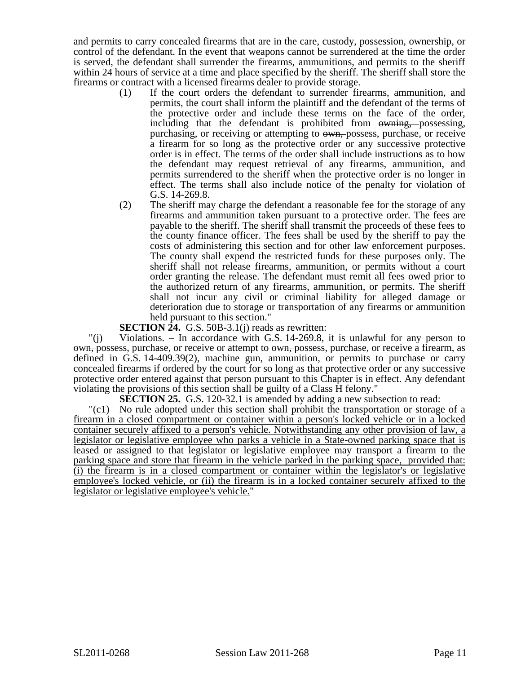and permits to carry concealed firearms that are in the care, custody, possession, ownership, or control of the defendant. In the event that weapons cannot be surrendered at the time the order is served, the defendant shall surrender the firearms, ammunitions, and permits to the sheriff within 24 hours of service at a time and place specified by the sheriff. The sheriff shall store the firearms or contract with a licensed firearms dealer to provide storage.

- (1) If the court orders the defendant to surrender firearms, ammunition, and permits, the court shall inform the plaintiff and the defendant of the terms of the protective order and include these terms on the face of the order, including that the defendant is prohibited from  $\overline{\text{ewning}}$ , possessing, purchasing, or receiving or attempting to  $\overline{\text{own}}$ , possess, purchase, or receive a firearm for so long as the protective order or any successive protective order is in effect. The terms of the order shall include instructions as to how the defendant may request retrieval of any firearms, ammunition, and permits surrendered to the sheriff when the protective order is no longer in effect. The terms shall also include notice of the penalty for violation of G.S. 14-269.8.
- (2) The sheriff may charge the defendant a reasonable fee for the storage of any firearms and ammunition taken pursuant to a protective order. The fees are payable to the sheriff. The sheriff shall transmit the proceeds of these fees to the county finance officer. The fees shall be used by the sheriff to pay the costs of administering this section and for other law enforcement purposes. The county shall expend the restricted funds for these purposes only. The sheriff shall not release firearms, ammunition, or permits without a court order granting the release. The defendant must remit all fees owed prior to the authorized return of any firearms, ammunition, or permits. The sheriff shall not incur any civil or criminal liability for alleged damage or deterioration due to storage or transportation of any firearms or ammunition held pursuant to this section."

# **SECTION 24.** G.S. 50B-3.1(j) reads as rewritten:

"(j) Violations. – In accordance with G.S. 14-269.8, it is unlawful for any person to own, possess, purchase, or receive or attempt to own, possess, purchase, or receive a firearm, as defined in G.S. 14-409.39(2), machine gun, ammunition, or permits to purchase or carry concealed firearms if ordered by the court for so long as that protective order or any successive protective order entered against that person pursuant to this Chapter is in effect. Any defendant violating the provisions of this section shall be guilty of a Class H felony."

**SECTION 25.** G.S. 120-32.1 is amended by adding a new subsection to read:

"(c1) No rule adopted under this section shall prohibit the transportation or storage of a firearm in a closed compartment or container within a person's locked vehicle or in a locked container securely affixed to a person's vehicle. Notwithstanding any other provision of law, a legislator or legislative employee who parks a vehicle in a State-owned parking space that is leased or assigned to that legislator or legislative employee may transport a firearm to the parking space and store that firearm in the vehicle parked in the parking space, provided that: (i) the firearm is in a closed compartment or container within the legislator's or legislative employee's locked vehicle, or (ii) the firearm is in a locked container securely affixed to the legislator or legislative employee's vehicle."